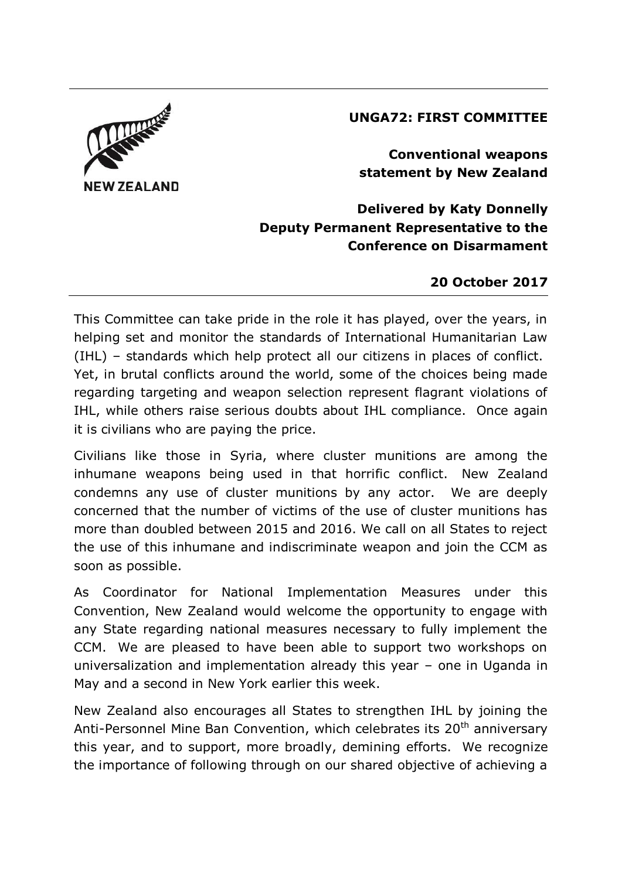## **UNGA72: FIRST COMMITTEE**



**Conventional weapons statement by New Zealand**

**Delivered by Katy Donnelly Deputy Permanent Representative to the Conference on Disarmament**

## **20 October 2017**

This Committee can take pride in the role it has played, over the years, in helping set and monitor the standards of International Humanitarian Law (IHL) – standards which help protect all our citizens in places of conflict. Yet, in brutal conflicts around the world, some of the choices being made regarding targeting and weapon selection represent flagrant violations of IHL, while others raise serious doubts about IHL compliance. Once again it is civilians who are paying the price.

Civilians like those in Syria, where cluster munitions are among the inhumane weapons being used in that horrific conflict. New Zealand condemns any use of cluster munitions by any actor. We are deeply concerned that the number of victims of the use of cluster munitions has more than doubled between 2015 and 2016. We call on all States to reject the use of this inhumane and indiscriminate weapon and join the CCM as soon as possible.

As Coordinator for National Implementation Measures under this Convention, New Zealand would welcome the opportunity to engage with any State regarding national measures necessary to fully implement the CCM. We are pleased to have been able to support two workshops on universalization and implementation already this year – one in Uganda in May and a second in New York earlier this week.

New Zealand also encourages all States to strengthen IHL by joining the Anti-Personnel Mine Ban Convention, which celebrates its 20<sup>th</sup> anniversary this year, and to support, more broadly, demining efforts. We recognize the importance of following through on our shared objective of achieving a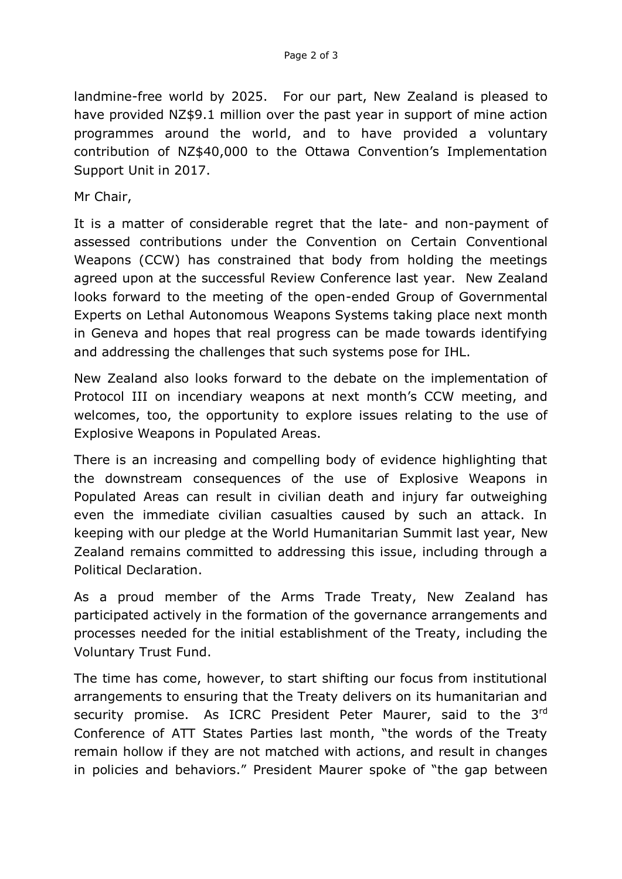landmine-free world by 2025. For our part, New Zealand is pleased to have provided NZ\$9.1 million over the past year in support of mine action programmes around the world, and to have provided a voluntary contribution of NZ\$40,000 to the Ottawa Convention's Implementation Support Unit in 2017.

Mr Chair,

It is a matter of considerable regret that the late- and non-payment of assessed contributions under the Convention on Certain Conventional Weapons (CCW) has constrained that body from holding the meetings agreed upon at the successful Review Conference last year. New Zealand looks forward to the meeting of the open-ended Group of Governmental Experts on Lethal Autonomous Weapons Systems taking place next month in Geneva and hopes that real progress can be made towards identifying and addressing the challenges that such systems pose for IHL.

New Zealand also looks forward to the debate on the implementation of Protocol III on incendiary weapons at next month's CCW meeting, and welcomes, too, the opportunity to explore issues relating to the use of Explosive Weapons in Populated Areas.

There is an increasing and compelling body of evidence highlighting that the downstream consequences of the use of Explosive Weapons in Populated Areas can result in civilian death and injury far outweighing even the immediate civilian casualties caused by such an attack. In keeping with our pledge at the World Humanitarian Summit last year, New Zealand remains committed to addressing this issue, including through a Political Declaration.

As a proud member of the Arms Trade Treaty, New Zealand has participated actively in the formation of the governance arrangements and processes needed for the initial establishment of the Treaty, including the Voluntary Trust Fund.

The time has come, however, to start shifting our focus from institutional arrangements to ensuring that the Treaty delivers on its humanitarian and security promise. As ICRC President Peter Maurer, said to the 3<sup>rd</sup> Conference of ATT States Parties last month, "the words of the Treaty remain hollow if they are not matched with actions, and result in changes in policies and behaviors." President Maurer spoke of "the gap between